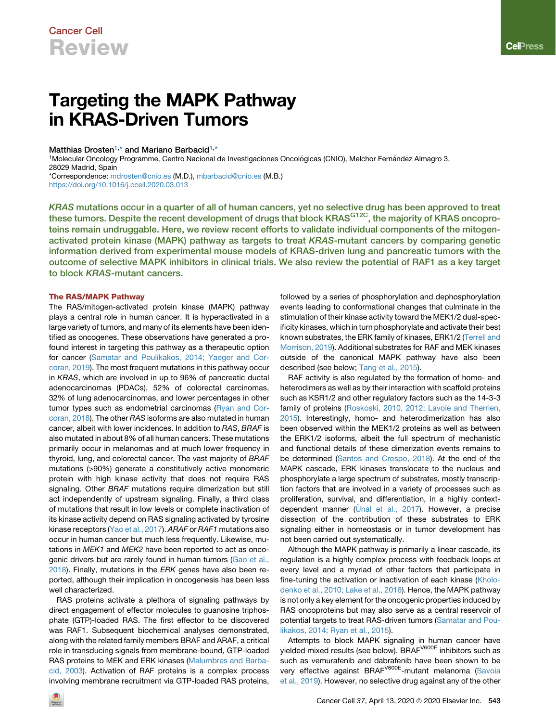# Targeting the MAPK Pathway in KRAS-Driven Tumors

#### Matthias Drosten<sup>[1,](#page-0-0)[\\*](#page-0-1)</sup> and Mariano Barbacid<sup>[1](#page-0-0),\*</sup>

<span id="page-0-0"></span><sup>1</sup>Molecular Oncology Programme, Centro Nacional de Investigaciones Oncológicas (CNIO), Melchor Fernández Almagro 3, 28029 Madrid, Spain \*Correspondence: [mdrosten@cnio.es](mailto:mdrosten@cnio.es) (M.D.), [mbarbacid@cnio.es](mailto:mbarbacid@cnio.es) (M.B.)

<span id="page-0-1"></span><https://doi.org/10.1016/j.ccell.2020.03.013>

KRAS mutations occur in a quarter of all of human cancers, yet no selective drug has been approved to treat these tumors. Despite the recent development of drugs that block KRAS<sup>G12C</sup>, the majority of KRAS oncoproteins remain undruggable. Here, we review recent efforts to validate individual components of the mitogenactivated protein kinase (MAPK) pathway as targets to treat KRAS-mutant cancers by comparing genetic information derived from experimental mouse models of KRAS-driven lung and pancreatic tumors with the outcome of selective MAPK inhibitors in clinical trials. We also review the potential of RAF1 as a key target to block KRAS-mutant cancers.

### The RAS/MAPK Pathway

The RAS/mitogen-activated protein kinase (MAPK) pathway plays a central role in human cancer. It is hyperactivated in a large variety of tumors, and many of its elements have been identified as oncogenes. These observations have generated a profound interest in targeting this pathway as a therapeutic option for cancer [\(Samatar and Poulikakos, 2014; Yaeger and Cor](#page-7-0)[coran, 2019\)](#page-7-0). The most frequent mutations in this pathway occur in *KRAS*, which are involved in up to 96% of pancreatic ductal adenocarcinomas (PDACs), 52% of colorectal carcinomas, 32% of lung adenocarcinomas, and lower percentages in other tumor types such as endometrial carcinomas ([Ryan and Cor](#page-7-1)[coran, 2018](#page-7-1)). The other *RAS* isoforms are also mutated in human cancer, albeit with lower incidences. In addition to *RAS*, *BRAF* is also mutated in about 8% of all human cancers. These mutations primarily occur in melanomas and at much lower frequency in thyroid, lung, and colorectal cancer. The vast majority of *BRAF* mutations (>90%) generate a constitutively active monomeric protein with high kinase activity that does not require RAS signaling. Other *BRAF* mutations require dimerization but still act independently of upstream signaling. Finally, a third class of mutations that result in low levels or complete inactivation of its kinase activity depend on RAS signaling activated by tyrosine kinase receptors [\(Yao et al., 2017\)](#page-7-2). *ARAF* or *RAF1* mutations also occur in human cancer but much less frequently. Likewise, mutations in *MEK1* and *MEK2* have been reported to act as onco-genic drivers but are rarely found in human tumors [\(Gao et al.,](#page-6-0) [2018\)](#page-6-0). Finally, mutations in the *ERK* genes have also been reported, although their implication in oncogenesis has been less well characterized.

RAS proteins activate a plethora of signaling pathways by direct engagement of effector molecules to guanosine triphosphate (GTP)-loaded RAS. The first effector to be discovered was RAF1. Subsequent biochemical analyses demonstrated, along with the related family members BRAF and ARAF, a critical role in transducing signals from membrane-bound, GTP-loaded RAS proteins to MEK and ERK kinases ([Malumbres and Barba](#page-6-1)[cid, 2003\)](#page-6-1). Activation of RAF proteins is a complex process involving membrane recruitment via GTP-loaded RAS proteins,

followed by a series of phosphorylation and dephosphorylation events leading to conformational changes that culminate in the stimulation of their kinase activity toward the MEK1/2 dual-specificity kinases, which in turn phosphorylate and activate their best known substrates, the ERK family of kinases, ERK1/2 ([Terrell and](#page-7-3) [Morrison, 2019\)](#page-7-3). Additional substrates for RAF and MEK kinases outside of the canonical MAPK pathway have also been described (see below; [Tang et al., 2015](#page-7-4)).

RAF activity is also regulated by the formation of homo- and heterodimers as well as by their interaction with scaffold proteins such as KSR1/2 and other regulatory factors such as the 14-3-3 family of proteins [\(Roskoski, 2010, 2012; Lavoie and Therrien,](#page-7-5) [2015\)](#page-7-5). Interestingly, homo- and heterodimerization has also been observed within the MEK1/2 proteins as well as between the ERK1/2 isoforms, albeit the full spectrum of mechanistic and functional details of these dimerization events remains to be determined [\(Santos and Crespo, 2018\)](#page-7-6). At the end of the MAPK cascade, ERK kinases translocate to the nucleus and phosphorylate a large spectrum of substrates, mostly transcription factors that are involved in a variety of processes such as proliferation, survival, and differentiation, in a highly contextdependent manner (U[nal et al., 2017](#page-7-7)). However, a precise dissection of the contribution of these substrates to ERK signaling either in homeostasis or in tumor development has not been carried out systematically.

Although the MAPK pathway is primarily a linear cascade, its regulation is a highly complex process with feedback loops at every level and a myriad of other factors that participate in fine-tuning the activation or inactivation of each kinase [\(Kholo](#page-6-2)[denko et al., 2010; Lake et al., 2016](#page-6-2)). Hence, the MAPK pathway is not only a key element for the oncogenic properties induced by RAS oncoproteins but may also serve as a central reservoir of potential targets to treat RAS-driven tumors [\(Samatar and Pou](#page-7-0)[likakos, 2014; Ryan et al., 2015](#page-7-0)).

Attempts to block MAPK signaling in human cancer have yielded mixed results (see below). BRAF<sup>V600E</sup> inhibitors such as such as vemurafenib and dabrafenib have been shown to be very effective against BRAF<sup>V600E</sup>-mutant melanoma ([Savoia](#page-7-8) [et al., 2019](#page-7-8)). However, no selective drug against any of the other

**Cell**Press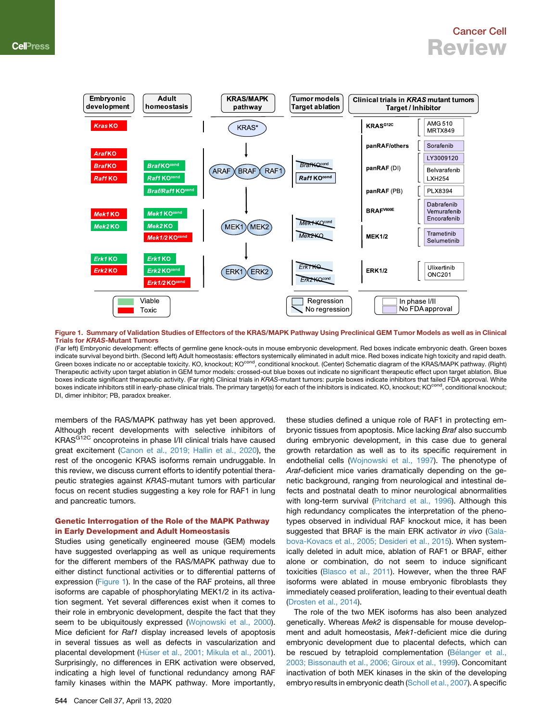<span id="page-1-0"></span>

Figure 1. Summary of Validation Studies of Effectors of the KRAS/MAPK Pathway Using Preclinical GEM Tumor Models as well as in Clinical Trials for KRAS-Mutant Tumors

(Far left) Embryonic development: effects of germline gene knock-outs in mouse embryonic development. Red boxes indicate embryonic death. Green boxes indicate survival beyond birth. (Second left) Adult homeostasis: effectors systemically eliminated in adult mice. Red boxes indicate high toxicity and rapid death. Green boxes indicate no or acceptable toxicity. KO, knockout; KO<sup>cond</sup>, conditional knockout. (Center) Schematic diagram of the KRAS/MAPK pathway. (Right) Therapeutic activity upon target ablation in GEM tumor models: crossed-out blue boxes out indicate no significant therapeutic effect upon target ablation. Blue boxes indicate significant therapeutic activity. (Far right) Clinical trials in *KRAS*-mutant tumors: purple boxes indicate inhibitors that failed FDA approval. White boxes indicate inhibitors still in early-phase clinical trials. The primary target(s) for each of the inhibitors is indicated. KO, knockout; KOcond, conditional knockout; DI, dimer inhibitor; PB, paradox breaker.

members of the RAS/MAPK pathway has yet been approved. Although recent developments with selective inhibitors of KRAS<sup>G12C</sup> oncoproteins in phase I/II clinical trials have caused great excitement ([Canon et al., 2019; Hallin et al., 2020\)](#page-5-0), the rest of the oncogenic KRAS isoforms remain undruggable. In this review, we discuss current efforts to identify potential therapeutic strategies against *KRAS*-mutant tumors with particular focus on recent studies suggesting a key role for RAF1 in lung and pancreatic tumors.

#### Genetic Interrogation of the Role of the MAPK Pathway in Early Development and Adult Homeostasis

Studies using genetically engineered mouse (GEM) models have suggested overlapping as well as unique requirements for the different members of the RAS/MAPK pathway due to either distinct functional activities or to differential patterns of expression [\(Figure 1](#page-1-0)). In the case of the RAF proteins, all three isoforms are capable of phosphorylating MEK1/2 in its activation segment. Yet several differences exist when it comes to their role in embryonic development, despite the fact that they seem to be ubiquitously expressed [\(Wojnowski et al., 2000](#page-7-9)). Mice deficient for *Raf1* display increased levels of apoptosis in several tissues as well as defects in vascularization and placental development [\(H](#page-6-3)ü[ser et al., 2001; Mikula et al., 2001](#page-6-3)). Surprisingly, no differences in ERK activation were observed, indicating a high level of functional redundancy among RAF family kinases within the MAPK pathway. More importantly,

these studies defined a unique role of RAF1 in protecting embryonic tissues from apoptosis. Mice lacking *Braf* also succumb during embryonic development, in this case due to general growth retardation as well as to its specific requirement in endothelial cells ([Wojnowski et al., 1997\)](#page-7-10). The phenotype of *Araf*-deficient mice varies dramatically depending on the genetic background, ranging from neurological and intestinal defects and postnatal death to minor neurological abnormalities with long-term survival [\(Pritchard et al., 1996](#page-7-11)). Although this high redundancy complicates the interpretation of the phenotypes observed in individual RAF knockout mice, it has been suggested that BRAF is the main ERK activator *in vivo* [\(Gala](#page-6-4)[bova-Kovacs et al., 2005; Desideri et al., 2015\)](#page-6-4). When systemically deleted in adult mice, ablation of RAF1 or BRAF, either alone or combination, do not seem to induce significant toxicities [\(Blasco et al., 2011\)](#page-5-1). However, when the three RAF isoforms were ablated in mouse embryonic fibroblasts they immediately ceased proliferation, leading to their eventual death [\(Drosten et al., 2014](#page-6-5)).

The role of the two MEK isoforms has also been analyzed genetically. Whereas *Mek2* is dispensable for mouse development and adult homeostasis, *Mek1-*deficient mice die during embryonic development due to placental defects, which can be rescued by tetraploid complementation (Bé[langer et al.,](#page-5-2) [2003; Bissonauth et al., 2006; Giroux et al., 1999](#page-5-2)). Concomitant inactivation of both MEK kinases in the skin of the developing embryo results in embryonic death [\(Scholl et al., 2007\)](#page-7-12). A specific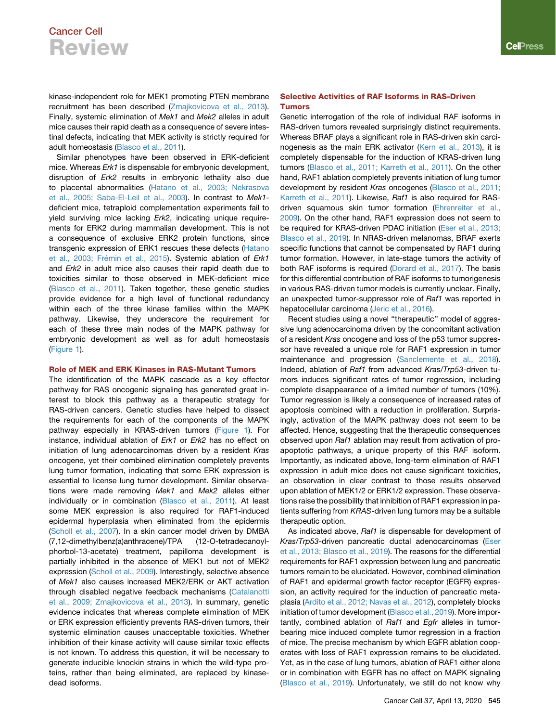kinase-independent role for MEK1 promoting PTEN membrane recruitment has been described [\(Zmajkovicova et al., 2013\)](#page-7-13). Finally, systemic elimination of *Mek1* and *Mek2* alleles in adult mice causes their rapid death as a consequence of severe intestinal defects, indicating that MEK activity is strictly required for adult homeostasis ([Blasco et al., 2011](#page-5-1)).

Similar phenotypes have been observed in ERK-deficient mice. Whereas *Erk1* is dispensable for embryonic development, disruption of *Erk2* results in embryonic lethality also due to placental abnormalities ([Hatano et al., 2003; Nekrasova](#page-6-6) [et al., 2005; Saba-El-Leil et al., 2003](#page-6-6)). In contrast to *Mek1* deficient mice, tetraploid complementation experiments fail to yield surviving mice lacking *Erk2*, indicating unique requirements for ERK2 during mammalian development. This is not a consequence of exclusive ERK2 protein functions, since transgenic expression of ERK1 rescues these defects ([Hatano](#page-6-6) et al., 2003; Frémin et al., 2015). Systemic ablation of *Erk1* and *Erk2* in adult mice also causes their rapid death due to toxicities similar to those observed in MEK-deficient mice [\(Blasco et al., 2011\)](#page-5-1). Taken together, these genetic studies provide evidence for a high level of functional redundancy within each of the three kinase families within the MAPK pathway. Likewise, they underscore the requirement for each of these three main nodes of the MAPK pathway for embryonic development as well as for adult homeostasis [\(Figure 1\)](#page-1-0).

### Role of MEK and ERK Kinases in RAS-Mutant Tumors

The identification of the MAPK cascade as a key effector pathway for RAS oncogenic signaling has generated great interest to block this pathway as a therapeutic strategy for RAS-driven cancers. Genetic studies have helped to dissect the requirements for each of the components of the MAPK pathway especially in KRAS-driven tumors [\(Figure 1](#page-1-0)). For instance, individual ablation of *Erk1* or *Erk2* has no effect on initiation of lung adenocarcinomas driven by a resident *Kras* oncogene, yet their combined elimination completely prevents lung tumor formation, indicating that some ERK expression is essential to license lung tumor development. Similar observations were made removing *Mek1* and *Mek2* alleles either individually or in combination [\(Blasco et al., 2011\)](#page-5-1). At least some MEK expression is also required for RAF1-induced epidermal hyperplasia when eliminated from the epidermis [\(Scholl et al., 2007](#page-7-12)). In a skin cancer model driven by DMBA (7,12-dimethylbenz(a)anthracene)/TPA (12-O-tetradecanoylphorbol-13-acetate) treatment, papilloma development is partially inhibited in the absence of MEK1 but not of MEK2 expression ([Scholl et al., 2009\)](#page-7-14). Interestingly, selective absence of *Mek1* also causes increased MEK2/ERK or AKT activation through disabled negative feedback mechanisms [\(Catalanotti](#page-5-3) [et al., 2009; Zmajkovicova et al., 2013](#page-5-3)). In summary, genetic evidence indicates that whereas complete elimination of MEK or ERK expression efficiently prevents RAS-driven tumors, their systemic elimination causes unacceptable toxicities. Whether inhibition of their kinase activity will cause similar toxic effects is not known. To address this question, it will be necessary to generate inducible knockin strains in which the wild-type proteins, rather than being eliminated, are replaced by kinasedead isoforms.

### Selective Activities of RAF Isoforms in RAS-Driven Tumors

Genetic interrogation of the role of individual RAF isoforms in RAS-driven tumors revealed surprisingly distinct requirements. Whereas BRAF plays a significant role in RAS-driven skin carcinogenesis as the main ERK activator [\(Kern et al., 2013\)](#page-6-7), it is completely dispensable for the induction of KRAS-driven lung tumors ([Blasco et al., 2011; Karreth et al., 2011](#page-5-1)). On the other hand, RAF1 ablation completely prevents initiation of lung tumor development by resident *Kras* oncogenes ([Blasco et al., 2011;](#page-5-1) [Karreth et al., 2011](#page-5-1)). Likewise, *Raf1* is also required for RASdriven squamous skin tumor formation ([Ehrenreiter et al.,](#page-6-8) [2009\)](#page-6-8). On the other hand, RAF1 expression does not seem to be required for KRAS-driven PDAC initiation [\(Eser et al., 2013;](#page-6-9) [Blasco et al., 2019](#page-6-9)). In NRAS-driven melanomas, BRAF exerts specific functions that cannot be compensated by RAF1 during tumor formation. However, in late-stage tumors the activity of both RAF isoforms is required ([Dorard et al., 2017](#page-6-10)). The basis for this differential contribution of RAF isoforms to tumorigenesis in various RAS-driven tumor models is currently unclear. Finally, an unexpected tumor-suppressor role of *Raf1* was reported in hepatocellular carcinoma [\(Jeric et al., 2016\)](#page-6-11).

Recent studies using a novel ''therapeutic'' model of aggressive lung adenocarcinoma driven by the concomitant activation of a resident *Kras* oncogene and loss of the p53 tumor suppressor have revealed a unique role for RAF1 expression in tumor maintenance and progression [\(Sanclemente et al., 2018\)](#page-7-15). Indeed, ablation of *Raf1* from advanced *Kra*s/*Trp53*-driven tumors induces significant rates of tumor regression, including complete disappearance of a limited number of tumors (10%). Tumor regression is likely a consequence of increased rates of apoptosis combined with a reduction in proliferation. Surprisingly, activation of the MAPK pathway does not seem to be affected. Hence, suggesting that the therapeutic consequences observed upon *Raf1* ablation may result from activation of proapoptotic pathways, a unique property of this RAF isoform. Importantly, as indicated above, long-term elimination of RAF1 expression in adult mice does not cause significant toxicities, an observation in clear contrast to those results observed upon ablation of MEK1/2 or ERK1/2 expression. These observations raise the possibility that inhibition of RAF1 expression in patients suffering from *KRAS*-driven lung tumors may be a suitable therapeutic option.

As indicated above, *Raf1* is dispensable for development of *Kras*/*Trp53*-driven pancreatic ductal adenocarcinomas [\(Eser](#page-6-9) [et al., 2013; Blasco et al., 2019](#page-6-9)). The reasons for the differential requirements for RAF1 expression between lung and pancreatic tumors remain to be elucidated. However, combined elimination of RAF1 and epidermal growth factor receptor (EGFR) expression, an activity required for the induction of pancreatic metaplasia ([Ardito et al., 2012; Navas et al., 2012](#page-5-4)), completely blocks initiation of tumor development [\(Blasco et al., 2019\)](#page-5-5). More importantly, combined ablation of *Raf1* and *Egfr* alleles in tumorbearing mice induced complete tumor regression in a fraction of mice. The precise mechanism by which EGFR ablation cooperates with loss of RAF1 expression remains to be elucidated. Yet, as in the case of lung tumors, ablation of RAF1 either alone or in combination with EGFR has no effect on MAPK signaling [\(Blasco et al., 2019\)](#page-5-5). Unfortunately, we still do not know why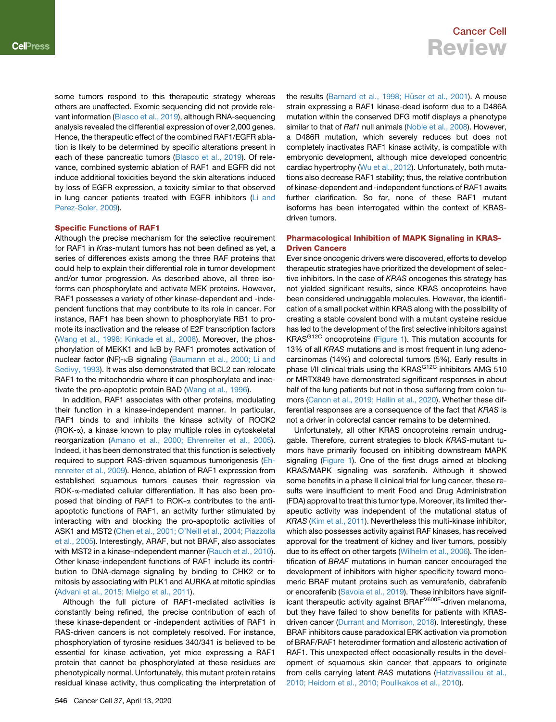some tumors respond to this therapeutic strategy whereas others are unaffected. Exomic sequencing did not provide relevant information [\(Blasco et al., 2019](#page-5-5)), although RNA-sequencing analysis revealed the differential expression of over 2,000 genes. Hence, the therapeutic effect of the combined RAF1/EGFR ablation is likely to be determined by specific alterations present in each of these pancreatic tumors [\(Blasco et al., 2019](#page-5-5)). Of relevance, combined systemic ablation of RAF1 and EGFR did not induce additional toxicities beyond the skin alterations induced by loss of EGFR expression, a toxicity similar to that observed in lung cancer patients treated with EGFR inhibitors ([Li and](#page-6-12) [Perez-Soler, 2009\)](#page-6-12).

#### Specific Functions of RAF1

Although the precise mechanism for the selective requirement for RAF1 in *Kras*-mutant tumors has not been defined as yet, a series of differences exists among the three RAF proteins that could help to explain their differential role in tumor development and/or tumor progression. As described above, all three isoforms can phosphorylate and activate MEK proteins. However, RAF1 possesses a variety of other kinase-dependent and -independent functions that may contribute to its role in cancer. For instance, RAF1 has been shown to phosphorylate RB1 to promote its inactivation and the release of E2F transcription factors ([Wang et al., 1998; Kinkade et al., 2008\)](#page-7-16). Moreover, the phosphorylation of MEKK1 and IkB by RAF1 promotes activation of nuclear factor (NF)-kB signaling ([Baumann et al., 2000; Li and](#page-5-6) [Sedivy, 1993](#page-5-6)). It was also demonstrated that BCL2 can relocate RAF1 to the mitochondria where it can phosphorylate and inactivate the pro-apoptotic protein BAD [\(Wang et al., 1996](#page-7-17)).

In addition, RAF1 associates with other proteins, modulating their function in a kinase-independent manner. In particular, RAF1 binds to and inhibits the kinase activity of ROCK2 (ROK-a), a kinase known to play multiple roles in cytoskeletal reorganization ([Amano et al., 2000; Ehrenreiter et al., 2005](#page-5-7)). Indeed, it has been demonstrated that this function is selectively required to support RAS-driven squamous tumorigenesis ([Eh](#page-6-8)[renreiter et al., 2009\)](#page-6-8). Hence, ablation of RAF1 expression from established squamous tumors causes their regression via ROK-a-mediated cellular differentiation. It has also been proposed that binding of RAF1 to ROK- $\alpha$  contributes to the antiapoptotic functions of RAF1, an activity further stimulated by interacting with and blocking the pro-apoptotic activities of ASK1 and MST2 ([Chen et al., 2001; O'Neill et al., 2004; Piazzolla](#page-5-8) [et al., 2005](#page-5-8)). Interestingly, ARAF, but not BRAF, also associates with MST2 in a kinase-independent manner ([Rauch et al., 2010](#page-7-18)). Other kinase-independent functions of RAF1 include its contribution to DNA-damage signaling by binding to CHK2 or to mitosis by associating with PLK1 and AURKA at mitotic spindles ([Advani et al., 2015; Mielgo et al., 2011\)](#page-5-9).

Although the full picture of RAF1-mediated activities is constantly being refined, the precise contribution of each of these kinase-dependent or -independent activities of RAF1 in RAS-driven cancers is not completely resolved. For instance, phosphorylation of tyrosine residues 340/341 is believed to be essential for kinase activation, yet mice expressing a RAF1 protein that cannot be phosphorylated at these residues are phenotypically normal. Unfortunately, this mutant protein retains residual kinase activity, thus complicating the interpretation of

the results (Barnard et al., 1998; Hüser et al., 2001). A mouse strain expressing a RAF1 kinase-dead isoform due to a D486A mutation within the conserved DFG motif displays a phenotype similar to that of *Raf1* null animals [\(Noble et al., 2008](#page-7-19)). However, a D486R mutation, which severely reduces but does not completely inactivates RAF1 kinase activity, is compatible with embryonic development, although mice developed concentric cardiac hypertrophy ([Wu et al., 2012](#page-7-20)). Unfortunately, both mutations also decrease RAF1 stability; thus, the relative contribution of kinase-dependent and -independent functions of RAF1 awaits further clarification. So far, none of these RAF1 mutant isoforms has been interrogated within the context of KRASdriven tumors.

### Pharmacological Inhibition of MAPK Signaling in KRAS-Driven Cancers

Ever since oncogenic drivers were discovered, efforts to develop therapeutic strategies have prioritized the development of selective inhibitors. In the case of *KRAS* oncogenes this strategy has not yielded significant results, since KRAS oncoproteins have been considered undruggable molecules. However, the identification of a small pocket within KRAS along with the possibility of creating a stable covalent bond with a mutant cysteine residue has led to the development of the first selective inhibitors against KRAS<sup>G12C</sup> oncoproteins ([Figure 1](#page-1-0)). This mutation accounts for 13% of all *KRAS* mutations and is most frequent in lung adenocarcinomas (14%) and colorectal tumors (5%). Early results in phase I/II clinical trials using the KRAS<sup>G12C</sup> inhibitors AMG 510 or MRTX849 have demonstrated significant responses in about half of the lung patients but not in those suffering from colon tumors [\(Canon et al., 2019; Hallin et al., 2020](#page-5-0)). Whether these differential responses are a consequence of the fact that *KRAS* is not a driver in colorectal cancer remains to be determined.

Unfortunately, all other KRAS oncoproteins remain undruggable. Therefore, current strategies to block *KRAS*-mutant tumors have primarily focused on inhibiting downstream MAPK signaling [\(Figure 1](#page-1-0)). One of the first drugs aimed at blocking KRAS/MAPK signaling was sorafenib. Although it showed some benefits in a phase II clinical trial for lung cancer, these results were insufficient to merit Food and Drug Administration (FDA) approval to treat this tumor type. Moreover, its limited therapeutic activity was independent of the mutational status of *KRAS* ([Kim et al., 2011\)](#page-6-13). Nevertheless this multi-kinase inhibitor, which also possesses activity against RAF kinases, has received approval for the treatment of kidney and liver tumors, possibly due to its effect on other targets ([Wilhelm et al., 2006\)](#page-7-21). The identification of *BRAF* mutations in human cancer encouraged the development of inhibitors with higher specificity toward monomeric BRAF mutant proteins such as vemurafenib, dabrafenib or encorafenib ([Savoia et al., 2019](#page-7-8)). These inhibitors have significant therapeutic activity against BRAF<sup>V600E</sup>-driven melanoma, but they have failed to show benefits for patients with KRASdriven cancer ([Durrant and Morrison, 2018](#page-6-14)). Interestingly, these BRAF inhibitors cause paradoxical ERK activation via promotion of BRAF/RAF1 heterodimer formation and allosteric activation of RAF1. This unexpected effect occasionally results in the development of squamous skin cancer that appears to originate from cells carrying latent *RAS* mutations [\(Hatzivassiliou et al.,](#page-6-15) [2010; Heidorn et al., 2010; Poulikakos et al., 2010\)](#page-6-15).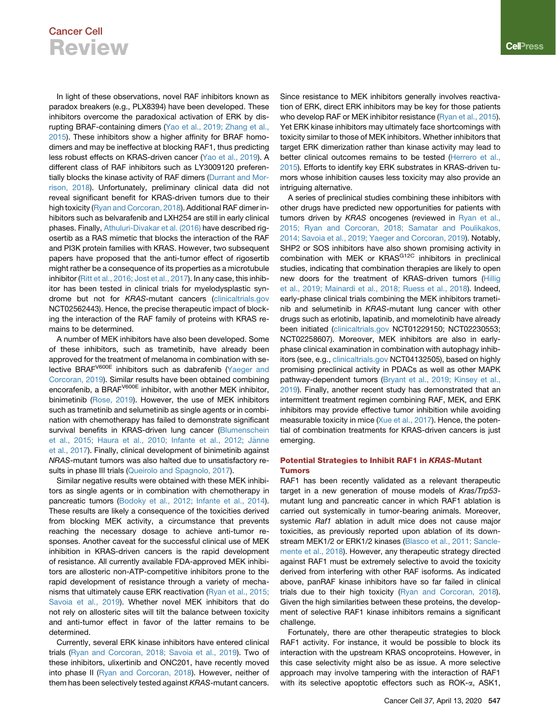In light of these observations, novel RAF inhibitors known as paradox breakers (e.g., PLX8394) have been developed. These inhibitors overcome the paradoxical activation of ERK by disrupting BRAF-containing dimers ([Yao et al., 2019; Zhang et al.,](#page-7-22) [2015\)](#page-7-22). These inhibitors show a higher affinity for BRAF homodimers and may be ineffective at blocking RAF1, thus predicting less robust effects on KRAS-driven cancer ([Yao et al., 2019\)](#page-7-22). A different class of RAF inhibitors such as LY3009120 preferentially blocks the kinase activity of RAF dimers ([Durrant and Mor](#page-6-14)[rison, 2018](#page-6-14)). Unfortunately, preliminary clinical data did not reveal significant benefit for KRAS-driven tumors due to their high toxicity ([Ryan and Corcoran, 2018](#page-7-1)). Additional RAF dimer inhibitors such as belvarafenib and LXH254 are still in early clinical phases. Finally, [Athuluri-Divakar et al. \(2016\)](#page-5-11) have described rigosertib as a RAS mimetic that blocks the interaction of the RAF and PI3K protein families with KRAS. However, two subsequent papers have proposed that the anti-tumor effect of rigosertib might rather be a consequence of its properties as a microtubule inhibitor [\(Ritt et al., 2016; Jost et al., 2017](#page-7-23)). In any case, this inhibitor has been tested in clinical trials for myelodysplastic syndrome but not for *KRAS*-mutant cancers [\(clinicaltrials.gov](http://clinicaltrials.gov) NCT02562443). Hence, the precise therapeutic impact of blocking the interaction of the RAF family of proteins with KRAS remains to be determined.

A number of MEK inhibitors have also been developed. Some of these inhibitors, such as trametinib, have already been approved for the treatment of melanoma in combination with selective BRAFV600E inhibitors such as dabrafenib ([Yaeger and](#page-7-24) [Corcoran, 2019\)](#page-7-24). Similar results have been obtained combining encorafenib, a BRAF<sup>V600E</sup> inhibitor, with another MEK inhibitor, binimetinib [\(Rose, 2019](#page-7-25)). However, the use of MEK inhibitors such as trametinib and selumetinib as single agents or in combination with chemotherapy has failed to demonstrate significant survival benefits in KRAS-driven lung cancer ([Blumenschein](#page-5-12) et al., 2015; Haura et al., 2010; Infante et al., 2012; Jänne [et al., 2017](#page-5-12)). Finally, clinical development of binimetinib against *NRAS*-mutant tumors was also halted due to unsatisfactory results in phase III trials [\(Queirolo and Spagnolo, 2017\)](#page-7-26).

Similar negative results were obtained with these MEK inhibitors as single agents or in combination with chemotherapy in pancreatic tumors [\(Bodoky et al., 2012; Infante et al., 2014\)](#page-5-13). These results are likely a consequence of the toxicities derived from blocking MEK activity, a circumstance that prevents reaching the necessary dosage to achieve anti-tumor responses. Another caveat for the successful clinical use of MEK inhibition in KRAS-driven cancers is the rapid development of resistance. All currently available FDA-approved MEK inhibitors are allosteric non-ATP-competitive inhibitors prone to the rapid development of resistance through a variety of mechanisms that ultimately cause ERK reactivation [\(Ryan et al., 2015;](#page-7-27) [Savoia et al., 2019\)](#page-7-27). Whether novel MEK inhibitors that do not rely on allosteric sites will tilt the balance between toxicity and anti-tumor effect in favor of the latter remains to be determined.

Currently, several ERK kinase inhibitors have entered clinical trials ([Ryan and Corcoran, 2018; Savoia et al., 2019\)](#page-7-1). Two of these inhibitors, ulixertinib and ONC201, have recently moved into phase II [\(Ryan and Corcoran, 2018\)](#page-7-1). However, neither of them has been selectively tested against *KRAS*-mutant cancers. Since resistance to MEK inhibitors generally involves reactivation of ERK, direct ERK inhibitors may be key for those patients who develop RAF or MEK inhibitor resistance ([Ryan et al., 2015\)](#page-7-27). Yet ERK kinase inhibitors may ultimately face shortcomings with toxicity similar to those of MEK inhibitors. Whether inhibitors that target ERK dimerization rather than kinase activity may lead to better clinical outcomes remains to be tested ([Herrero et al.,](#page-6-16) [2015\)](#page-6-16). Efforts to identify key ERK substrates in KRAS-driven tumors whose inhibition causes less toxicity may also provide an intriguing alternative.

A series of preclinical studies combining these inhibitors with other drugs have predicted new opportunities for patients with tumors driven by *KRAS* oncogenes (reviewed in [Ryan et al.,](#page-7-27) [2015; Ryan and Corcoran, 2018; Samatar and Poulikakos,](#page-7-27) [2014; Savoia et al., 2019; Yaeger and Corcoran, 2019\)](#page-7-27). Notably, SHP2 or SOS inhibitors have also shown promising activity in combination with MEK or KRAS<sup>G12C</sup> inhibitors in preclinical studies, indicating that combination therapies are likely to open new doors for the treatment of KRAS-driven tumors ([Hillig](#page-6-17) [et al., 2019; Mainardi et al., 2018; Ruess et al., 2018](#page-6-17)). Indeed, early-phase clinical trials combining the MEK inhibitors trametinib and selumetinib in *KRAS*-mutant lung cancer with other drugs such as erlotinib, lapatinib, and momelotinib have already been initiated [\(clinicaltrials.gov](http://clinicaltrials.gov) NCT01229150; NCT02230553; NCT02258607). Moreover, MEK inhibitors are also in earlyphase clinical examination in combination with autophagy inhibitors (see, e.g., [clinicaltrials.gov](http://clinicaltrials.gov) NCT04132505), based on highly promising preclinical activity in PDACs as well as other MAPK pathway-dependent tumors ([Bryant et al., 2019; Kinsey et al.,](#page-5-14) [2019\)](#page-5-14). Finally, another recent study has demonstrated that an intermittent treatment regimen combining RAF, MEK, and ERK inhibitors may provide effective tumor inhibition while avoiding measurable toxicity in mice ([Xue et al., 2017\)](#page-7-28). Hence, the potential of combination treatments for KRAS-driven cancers is just emerging.

#### Potential Strategies to Inhibit RAF1 in KRAS-Mutant Tumors

RAF1 has been recently validated as a relevant therapeutic target in a new generation of mouse models of *Kras*/*Trp53* mutant lung and pancreatic cancer in which RAF1 ablation is carried out systemically in tumor-bearing animals. Moreover, systemic *Raf1* ablation in adult mice does not cause major toxicities, as previously reported upon ablation of its downstream MEK1/2 or ERK1/2 kinases ([Blasco et al., 2011; Sancle](#page-5-1)[mente et al., 2018](#page-5-1)). However, any therapeutic strategy directed against RAF1 must be extremely selective to avoid the toxicity derived from interfering with other RAF isoforms. As indicated above, panRAF kinase inhibitors have so far failed in clinical trials due to their high toxicity [\(Ryan and Corcoran, 2018\)](#page-7-1). Given the high similarities between these proteins, the development of selective RAF1 kinase inhibitors remains a significant challenge.

Fortunately, there are other therapeutic strategies to block RAF1 activity. For instance, it would be possible to block its interaction with the upstream KRAS oncoproteins. However, in this case selectivity might also be as issue. A more selective approach may involve tampering with the interaction of RAF1 with its selective apoptotic effectors such as ROK- $\alpha$ , ASK1,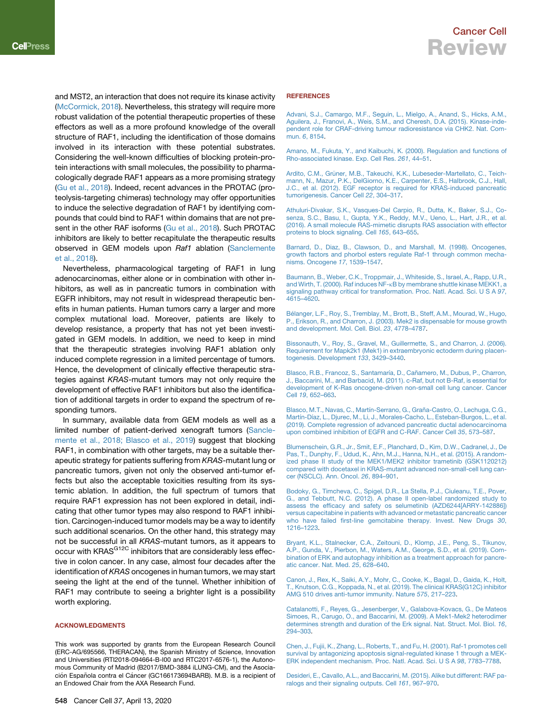and MST2, an interaction that does not require its kinase activity ([McCormick, 2018\)](#page-6-18). Nevertheless, this strategy will require more robust validation of the potential therapeutic properties of these effectors as well as a more profound knowledge of the overall structure of RAF1, including the identification of those domains involved in its interaction with these potential substrates. Considering the well-known difficulties of blocking protein-protein interactions with small molecules, the possibility to pharmacologically degrade RAF1 appears as a more promising strategy ([Gu et al., 2018\)](#page-6-19). Indeed, recent advances in the PROTAC (proteolysis-targeting chimeras) technology may offer opportunities to induce the selective degradation of RAF1 by identifying compounds that could bind to RAF1 within domains that are not present in the other RAF isoforms ([Gu et al., 2018\)](#page-6-19). Such PROTAC inhibitors are likely to better recapitulate the therapeutic results observed in GEM models upon *Raf1* ablation [\(Sanclemente](#page-7-15) [et al., 2018\)](#page-7-15).

Nevertheless, pharmacological targeting of RAF1 in lung adenocarcinomas, either alone or in combination with other inhibitors, as well as in pancreatic tumors in combination with EGFR inhibitors, may not result in widespread therapeutic benefits in human patients. Human tumors carry a larger and more complex mutational load. Moreover, patients are likely to develop resistance, a property that has not yet been investigated in GEM models. In addition, we need to keep in mind that the therapeutic strategies involving RAF1 ablation only induced complete regression in a limited percentage of tumors. Hence, the development of clinically effective therapeutic strategies against *KRAS*-mutant tumors may not only require the development of effective RAF1 inhibitors but also the identification of additional targets in order to expand the spectrum of responding tumors.

In summary, available data from GEM models as well as a limited number of patient-derived xenograft tumors ([Sancle](#page-7-15)[mente et al., 2018; Blasco et al., 2019\)](#page-7-15) suggest that blocking RAF1, in combination with other targets, may be a suitable therapeutic strategy for patients suffering from *KRAS*-mutant lung or pancreatic tumors, given not only the observed anti-tumor effects but also the acceptable toxicities resulting from its systemic ablation. In addition, the full spectrum of tumors that require RAF1 expression has not been explored in detail, indicating that other tumor types may also respond to RAF1 inhibition. Carcinogen-induced tumor models may be a way to identify such additional scenarios. On the other hand, this strategy may not be successful in all *KRAS*-mutant tumors, as it appears to occur with KRAS<sup>G12C</sup> inhibitors that are considerably less effective in colon cancer. In any case, almost four decades after the identification of *KRAS* oncogenes in human tumors, we may start seeing the light at the end of the tunnel. Whether inhibition of RAF1 may contribute to seeing a brighter light is a possibility worth exploring.

#### ACKNOWLEDGMENTS

This work was supported by grants from the European Research Council (ERC-AG/695566, THERACAN), the Spanish Ministry of Science, Innovation and Universities (RTI2018-094664-B-I00 and RTC2017-6576-1), the Autonomous Community of Madrid (B2017/BMD-3884 iLUNG-CM), and the Asociación Española contra el Cáncer (GC166173694BARB). M.B. is a recipient of an Endowed Chair from the AXA Research Fund.

<span id="page-5-9"></span>[Advani, S.J., Camargo, M.F., Seguin, L., Mielgo, A., Anand, S., Hicks, A.M.,](http://refhub.elsevier.com/S1535-6108(20)30153-7/sref1) [Aguilera, J., Franovi, A., Weis, S.M., and Cheresh, D.A. \(2015\). Kinase-inde](http://refhub.elsevier.com/S1535-6108(20)30153-7/sref1)[pendent role for CRAF-driving tumour radioresistance via CHK2. Nat. Com](http://refhub.elsevier.com/S1535-6108(20)30153-7/sref1)mun. *6*[, 8154.](http://refhub.elsevier.com/S1535-6108(20)30153-7/sref1)

<span id="page-5-7"></span>[Amano, M., Fukuta, Y., and Kaibuchi, K. \(2000\). Regulation and functions of](http://refhub.elsevier.com/S1535-6108(20)30153-7/sref2) [Rho-associated kinase. Exp. Cell Res.](http://refhub.elsevier.com/S1535-6108(20)30153-7/sref2) *261*, 44–51.

<span id="page-5-4"></span>Ardito, C.M., Grüner, M.B., Takeuchi, K.K., Lubeseder-Martellato, C., Teich[mann, N., Mazur, P.K., DelGiorno, K.E., Carpenter, E.S., Halbrook, C.J., Hall,](http://refhub.elsevier.com/S1535-6108(20)30153-7/sref3) [J.C., et al. \(2012\). EGF receptor is required for KRAS-induced pancreatic](http://refhub.elsevier.com/S1535-6108(20)30153-7/sref3) [tumorigenesis. Cancer Cell](http://refhub.elsevier.com/S1535-6108(20)30153-7/sref3) *22*, 304–317.

<span id="page-5-11"></span>[Athuluri-Divakar, S.K., Vasques-Del Carpio, R., Dutta, K., Baker, S.J., Co](http://refhub.elsevier.com/S1535-6108(20)30153-7/sref4)[senza, S.C., Basu, I., Gupta, Y.K., Reddy, M.V., Ueno, L., Hart, J.R., et al.](http://refhub.elsevier.com/S1535-6108(20)30153-7/sref4) [\(2016\). A small molecule RAS-mimetic disrupts RAS association with effector](http://refhub.elsevier.com/S1535-6108(20)30153-7/sref4) [proteins to block signaling. Cell](http://refhub.elsevier.com/S1535-6108(20)30153-7/sref4) *165*, 643–655.

<span id="page-5-10"></span>[Barnard, D., Diaz, B., Clawson, D., and Marshall, M. \(1998\). Oncogenes,](http://refhub.elsevier.com/S1535-6108(20)30153-7/sref5) [growth factors and phorbol esters regulate Raf-1 through common mecha](http://refhub.elsevier.com/S1535-6108(20)30153-7/sref5)[nisms. Oncogene](http://refhub.elsevier.com/S1535-6108(20)30153-7/sref5) *17*, 1539–1547.

<span id="page-5-6"></span>[Baumann, B., Weber, C.K., Troppmair, J., Whiteside, S., Israel, A., Rapp, U.R.,](http://refhub.elsevier.com/S1535-6108(20)30153-7/sref6) and Wirth, T. (2000). Raf induces NF-k[B by membrane shuttle kinase MEKK1, a](http://refhub.elsevier.com/S1535-6108(20)30153-7/sref6) [signaling pathway critical for transformation. Proc. Natl. Acad. Sci. U S A](http://refhub.elsevier.com/S1535-6108(20)30153-7/sref6) *97*, [4615–4620](http://refhub.elsevier.com/S1535-6108(20)30153-7/sref6).

<span id="page-5-2"></span>Bé[langer, L.F., Roy, S., Tremblay, M., Brott, B., Steff, A.M., Mourad, W., Hugo,](http://refhub.elsevier.com/S1535-6108(20)30153-7/sref7) [P., Erikson, R., and Charron, J. \(2003\). Mek2 is dispensable for mouse growth](http://refhub.elsevier.com/S1535-6108(20)30153-7/sref7) [and development. Mol. Cell. Biol.](http://refhub.elsevier.com/S1535-6108(20)30153-7/sref7) *23*, 4778–4787.

[Bissonauth, V., Roy, S., Gravel, M., Guillermette, S., and Charron, J. \(2006\).](http://refhub.elsevier.com/S1535-6108(20)30153-7/sref8) [Requirement for Mapk2k1 \(Mek1\) in extraembryonic ectoderm during placen](http://refhub.elsevier.com/S1535-6108(20)30153-7/sref8)[togenesis. Development](http://refhub.elsevier.com/S1535-6108(20)30153-7/sref8) *133*, 3429–3440.

<span id="page-5-1"></span>Blasco, R.B., Francoz, S., Santamaría, D., Cañamero, M., Dubus, P., Charron, [J., Baccarini, M., and Barbacid, M. \(2011\). c-Raf, but not B-Raf, is essential for](http://refhub.elsevier.com/S1535-6108(20)30153-7/sref9) [development of K-Ras oncogene-driven non-small cell lung cancer. Cancer](http://refhub.elsevier.com/S1535-6108(20)30153-7/sref9) Cell *19*[, 652–663.](http://refhub.elsevier.com/S1535-6108(20)30153-7/sref9)

<span id="page-5-5"></span>Blasco, M.T., Navas, C., Martín-Serrano, G., Graña-Castro, O., Lechuga, C.G., Martín-Díaz, L., Djurec, M., Li, J., Morales-Cacho, L., Esteban-Burgos, L., et al. [\(2019\). Complete regression of advanced pancreatic ductal adenocarcinoma](http://refhub.elsevier.com/S1535-6108(20)30153-7/sref10) [upon combined inhibition of EGFR and C-RAF. Cancer Cell](http://refhub.elsevier.com/S1535-6108(20)30153-7/sref10) *35*, 573–587.

<span id="page-5-12"></span>[Blumenschein, G.R., Jr., Smit, E.F., Planchard, D., Kim, D.W., Cadranel, J., De](http://refhub.elsevier.com/S1535-6108(20)30153-7/sref11) [Pas, T., Dunphy, F., Udud, K., Ahn, M.J., Hanna, N.H., et al. \(2015\). A random](http://refhub.elsevier.com/S1535-6108(20)30153-7/sref11)[ized phase II study of the MEK1/MEK2 inhibitor trametinib \(GSK1120212\)](http://refhub.elsevier.com/S1535-6108(20)30153-7/sref11) [compared with docetaxel in KRAS-mutant advanced non-small-cell lung can](http://refhub.elsevier.com/S1535-6108(20)30153-7/sref11)[cer \(NSCLC\). Ann. Oncol.](http://refhub.elsevier.com/S1535-6108(20)30153-7/sref11) *26*, 894–901.

<span id="page-5-13"></span>[Bodoky, G., Timcheva, C., Spigel, D.R., La Stella, P.J., Ciuleanu, T.E., Pover,](http://refhub.elsevier.com/S1535-6108(20)30153-7/sref12) [G., and Tebbutt, N.C. \(2012\). A phase II open-label randomized study to](http://refhub.elsevier.com/S1535-6108(20)30153-7/sref12) [assess the efficacy and safety os selumetinib \(AZD6244\[ARRY-142886\]\)](http://refhub.elsevier.com/S1535-6108(20)30153-7/sref12) [versus capecitabine in patients with advanced or metastatic pancreatic cancer](http://refhub.elsevier.com/S1535-6108(20)30153-7/sref12) [who have failed first-line gemcitabine therapy. Invest. New Drugs](http://refhub.elsevier.com/S1535-6108(20)30153-7/sref12) *30*, [1216–1223](http://refhub.elsevier.com/S1535-6108(20)30153-7/sref12).

<span id="page-5-14"></span>[Bryant, K.L., Stalnecker, C.A., Zeitouni, D., Klomp, J.E., Peng, S., Tikunov,](http://refhub.elsevier.com/S1535-6108(20)30153-7/sref13) [A.P., Gunda, V., Pierbon, M., Waters, A.M., George, S.D., et al. \(2019\). Com](http://refhub.elsevier.com/S1535-6108(20)30153-7/sref13)[bination of ERK and autophagy inhibition as a treatment approach for pancre](http://refhub.elsevier.com/S1535-6108(20)30153-7/sref13)[atic cancer. Nat. Med.](http://refhub.elsevier.com/S1535-6108(20)30153-7/sref13) *25*, 628–640.

<span id="page-5-3"></span><span id="page-5-0"></span>[Canon, J., Rex, K., Saiki, A.Y., Mohr, C., Cooke, K., Bagal, D., Gaida, K., Holt,](http://refhub.elsevier.com/S1535-6108(20)30153-7/sref14) [T., Knutson, C.G., Koppada, N., et al. \(2019\). The clinical KRAS\(G12C\) inhibitor](http://refhub.elsevier.com/S1535-6108(20)30153-7/sref14) [AMG 510 drives anti-tumor immunity. Nature](http://refhub.elsevier.com/S1535-6108(20)30153-7/sref14) *575*, 217–223.

[Catalanotti, F., Reyes, G., Jesenberger, V., Galabova-Kovacs, G., De Mateos](http://refhub.elsevier.com/S1535-6108(20)30153-7/sref15) [Simoes, R., Carugo, O., and Baccarini, M. \(2009\). A Mek1-Mek2 heterodimer](http://refhub.elsevier.com/S1535-6108(20)30153-7/sref15) [determines strength and duration of the Erk signal. Nat. Struct. Mol. Biol.](http://refhub.elsevier.com/S1535-6108(20)30153-7/sref15) *16*, [294–303](http://refhub.elsevier.com/S1535-6108(20)30153-7/sref15).

<span id="page-5-8"></span>[Chen, J., Fujii, K., Zhang, L., Roberts, T., and Fu, H. \(2001\). Raf-1 promotes cell](http://refhub.elsevier.com/S1535-6108(20)30153-7/sref16) [survival by antagonizing apoptosis signal-regulated kinase 1 through a MEK-](http://refhub.elsevier.com/S1535-6108(20)30153-7/sref16)[ERK independent mechanism. Proc. Natl. Acad. Sci. U S A](http://refhub.elsevier.com/S1535-6108(20)30153-7/sref16) *98*, 7783–7788.

[Desideri, E., Cavallo, A.L., and Baccarini, M. \(2015\). Alike but different: RAF pa](http://refhub.elsevier.com/S1535-6108(20)30153-7/sref17)[ralogs and their signaling outputs. Cell](http://refhub.elsevier.com/S1535-6108(20)30153-7/sref17) *161*, 967–970.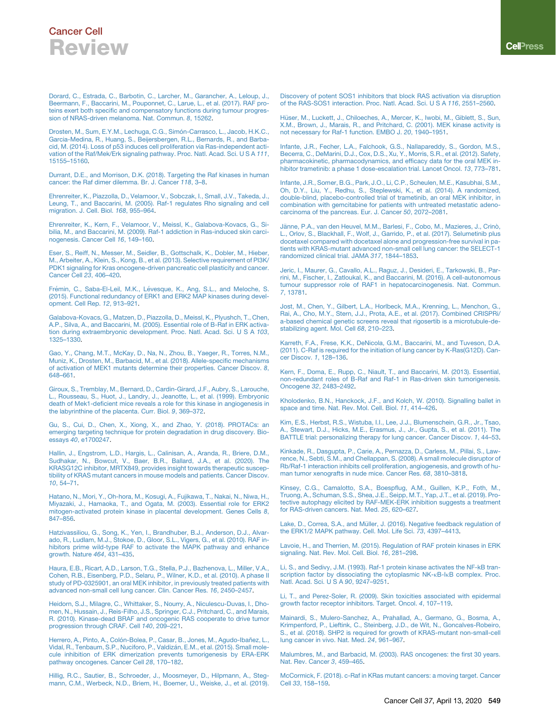<span id="page-6-10"></span>[Dorard, C., Estrada, C., Barbotin, C., Larcher, M., Garancher, A., Leloup, J.,](http://refhub.elsevier.com/S1535-6108(20)30153-7/sref18) [Beermann, F., Baccarini, M., Pouponnet, C., Larue, L., et al. \(2017\). RAF pro](http://refhub.elsevier.com/S1535-6108(20)30153-7/sref18)[teins exert both specific and compensatory functions during tumour progres](http://refhub.elsevier.com/S1535-6108(20)30153-7/sref18)[sion of NRAS-driven melanoma. Nat. Commun.](http://refhub.elsevier.com/S1535-6108(20)30153-7/sref18) *8*, 15262.

<span id="page-6-5"></span>Drosten, M., Sum, E.Y.M., Lechuga, C.G., Simón-Carrasco, L., Jacob, H.K.C., [Garcia-Medina, R., Huang, S., Beijersbergen, R.L., Bernards, R., and Barba](http://refhub.elsevier.com/S1535-6108(20)30153-7/sref19)[cid, M. \(2014\). Loss of p53 induces cell proliferation via Ras-independent acti](http://refhub.elsevier.com/S1535-6108(20)30153-7/sref19)[vation of the Raf/Mek/Erk signaling pathway. Proc. Natl. Acad. Sci. U S A](http://refhub.elsevier.com/S1535-6108(20)30153-7/sref19) *111*, [15155–15160](http://refhub.elsevier.com/S1535-6108(20)30153-7/sref19).

<span id="page-6-14"></span>[Durrant, D.E., and Morrison, D.K. \(2018\). Targeting the Raf kinases in human](http://refhub.elsevier.com/S1535-6108(20)30153-7/sref20) [cancer: the Raf dimer dilemma. Br. J. Cancer](http://refhub.elsevier.com/S1535-6108(20)30153-7/sref20) *118*, 3–8.

[Ehrenreiter, K., Piazzolla, D., Velamoor, V., Sobczak, I., Small, J.V., Takeda, J.,](http://refhub.elsevier.com/S1535-6108(20)30153-7/sref21) [Leung, T., and Baccarini, M. \(2005\). Raf-1 regulates Rho signaling and cell](http://refhub.elsevier.com/S1535-6108(20)30153-7/sref21) [migration. J. Cell. Biol.](http://refhub.elsevier.com/S1535-6108(20)30153-7/sref21) *168*, 955–964.

<span id="page-6-8"></span>[Ehrenreiter, K., Kern, F., Velamoor, V., Meissl, K., Galabova-Kovacs, G., Si](http://refhub.elsevier.com/S1535-6108(20)30153-7/sref22)[bilia, M., and Baccarini, M. \(2009\). Raf-1 addiction in Ras-induced skin carci](http://refhub.elsevier.com/S1535-6108(20)30153-7/sref22)[nogenesis. Cancer Cell](http://refhub.elsevier.com/S1535-6108(20)30153-7/sref22) *16*, 149–160.

<span id="page-6-9"></span>[Eser, S., Reiff, N., Messer, M., Seidler, B., Gottschalk, K., Dobler, M., Hieber,](http://refhub.elsevier.com/S1535-6108(20)30153-7/sref23) [M., Arbeiter, A., Klein, S., Kong, B., et al. \(2013\). Selective requirement of PI3K/](http://refhub.elsevier.com/S1535-6108(20)30153-7/sref23) [PDK1 signaling for Kras oncogene-driven pancreatic cell plasticity and cancer.](http://refhub.elsevier.com/S1535-6108(20)30153-7/sref23) [Cancer Cell](http://refhub.elsevier.com/S1535-6108(20)30153-7/sref23) *23*, 406–420.

Frémin, C., Saba-El-Leil, M.K., Lé[vesque, K., Ang, S.L., and Meloche, S.](http://refhub.elsevier.com/S1535-6108(20)30153-7/sref24) [\(2015\). Functional redundancy of ERK1 and ERK2 MAP kinases during devel](http://refhub.elsevier.com/S1535-6108(20)30153-7/sref24)[opment. Cell Rep.](http://refhub.elsevier.com/S1535-6108(20)30153-7/sref24) *12*, 913–921.

<span id="page-6-4"></span>[Galabova-Kovacs, G., Matzen, D., Piazzolla, D., Meissl, K., Plyushch, T., Chen,](http://refhub.elsevier.com/S1535-6108(20)30153-7/sref25) [A.P., Silva, A., and Baccarini, M. \(2005\). Essential role of B-Raf in ERK activa](http://refhub.elsevier.com/S1535-6108(20)30153-7/sref25)[tion during extraembryonic development. Proc. Natl. Acad. Sci. U S A](http://refhub.elsevier.com/S1535-6108(20)30153-7/sref25) *103*, [1325–1330](http://refhub.elsevier.com/S1535-6108(20)30153-7/sref25).

<span id="page-6-0"></span>[Gao, Y., Chang, M.T., McKay, D., Na, N., Zhou, B., Yaeger, R., Torres, N.M.,](http://refhub.elsevier.com/S1535-6108(20)30153-7/sref26) [Muniz, K., Drosten, M., Barbacid, M., et al. \(2018\). Allele-specific mechanisms](http://refhub.elsevier.com/S1535-6108(20)30153-7/sref26) [of activation of MEK1 mutants determine their properties. Cancer Discov.](http://refhub.elsevier.com/S1535-6108(20)30153-7/sref26) *8*, [648–661.](http://refhub.elsevier.com/S1535-6108(20)30153-7/sref26)

[Giroux, S., Tremblay, M., Bernard, D., Cardin-Girard, J.F., Aubry, S., Larouche,](http://refhub.elsevier.com/S1535-6108(20)30153-7/sref27) [L., Rousseau, S., Huot, J., Landry, J., Jeanotte, L., et al. \(1999\). Embryonic](http://refhub.elsevier.com/S1535-6108(20)30153-7/sref27) [death of Mek1-deficient mice reveals a role for this kinase in angiogenesis in](http://refhub.elsevier.com/S1535-6108(20)30153-7/sref27) [the labyrinthine of the placenta. Curr. Biol.](http://refhub.elsevier.com/S1535-6108(20)30153-7/sref27) *9*, 369–372.

<span id="page-6-19"></span>[Gu, S., Cui, D., Chen, X., Xiong, X., and Zhao, Y. \(2018\). PROTACs: an](http://refhub.elsevier.com/S1535-6108(20)30153-7/sref28) [emerging targeting technique for protein degradation in drug discovery. Bio](http://refhub.elsevier.com/S1535-6108(20)30153-7/sref28)essays *40*[, e1700247.](http://refhub.elsevier.com/S1535-6108(20)30153-7/sref28)

[Hallin, J., Engstrom, L.D., Hargis, L., Calinisan, A., Aranda, R., Briere, D.M.,](http://refhub.elsevier.com/S1535-6108(20)30153-7/sref29) [Sudhakar, N., Bowcut, V., Baer, B.R., Ballard, J.A., et al. \(2020\). The](http://refhub.elsevier.com/S1535-6108(20)30153-7/sref29) [KRASG12C inhibitor, MRTX849, provides insight towards therapeutic suscep](http://refhub.elsevier.com/S1535-6108(20)30153-7/sref29)[tibility of KRAS mutant cancers in mouse models and patients. Cancer Discov.](http://refhub.elsevier.com/S1535-6108(20)30153-7/sref29) *10*[, 54–71.](http://refhub.elsevier.com/S1535-6108(20)30153-7/sref29)

<span id="page-6-6"></span>[Hatano, N., Mori, Y., Oh-hora, M., Kosugi, A., Fujikawa, T., Nakai, N., Niwa, H.,](http://refhub.elsevier.com/S1535-6108(20)30153-7/sref30) [Miyazaki, J., Hamaoka, T., and Ogata, M. \(2003\). Essential role for ERK2](http://refhub.elsevier.com/S1535-6108(20)30153-7/sref30) [mitogen-activated protein kinase in placental development. Genes Cells](http://refhub.elsevier.com/S1535-6108(20)30153-7/sref30) *8*, [847–856.](http://refhub.elsevier.com/S1535-6108(20)30153-7/sref30)

<span id="page-6-15"></span>[Hatzivassiliou, G., Song, K., Yen, I., Brandhuber, B.J., Anderson, D.J., Alvar](http://refhub.elsevier.com/S1535-6108(20)30153-7/sref31)[ado, R., Ludlam, M.J., Stokoe, D., Gloor, S.L., Vigers, G., et al. \(2010\). RAF in](http://refhub.elsevier.com/S1535-6108(20)30153-7/sref31)[hibitors prime wild-type RAF to activate the MAPK pathway and enhance](http://refhub.elsevier.com/S1535-6108(20)30153-7/sref31) [growth. Nature](http://refhub.elsevier.com/S1535-6108(20)30153-7/sref31) *464*, 431–435.

[Haura, E.B., Ricart, A.D., Larson, T.G., Stella, P.J., Bazhenova, L., Miller, V.A.,](http://refhub.elsevier.com/S1535-6108(20)30153-7/sref32) [Cohen, R.B., Eisenberg, P.D., Selaru, P., Wilner, K.D., et al. \(2010\). A phase II](http://refhub.elsevier.com/S1535-6108(20)30153-7/sref32) [study of PD-0325901, an oral MEK inhibitor, in previously treated patients with](http://refhub.elsevier.com/S1535-6108(20)30153-7/sref32) [advanced non-small cell lung cancer. Clin. Cancer Res.](http://refhub.elsevier.com/S1535-6108(20)30153-7/sref32) *16*, 2450–2457.

[Heidorn, S.J., Milagre, C., Whittaker, S., Nourry, A., Niculescu-Duvas, I., Dho](http://refhub.elsevier.com/S1535-6108(20)30153-7/sref33)[men, N., Hussain, J., Reis-Filho, J.S., Springer, C.J., Pritchard, C., and Marais,](http://refhub.elsevier.com/S1535-6108(20)30153-7/sref33) [R. \(2010\). Kinase-dead BRAF and oncogenic RAS cooperate to drive tumor](http://refhub.elsevier.com/S1535-6108(20)30153-7/sref33) [progression through CRAF. Cell](http://refhub.elsevier.com/S1535-6108(20)30153-7/sref33) *140*, 209–221.

<span id="page-6-16"></span>Herrero, A., Pinto, A., Colón-Bolea, P., Casar, B., Jones, M., Agudo-Ibañez, L.,<br>Vidal, R., Tenbaum, S.P., Nuciforo, P., Valdizán, E.M., et al. (2015). Small mole[cule inhibition of ERK dimerization prevents tumorigenesis by ERA-ERK](http://refhub.elsevier.com/S1535-6108(20)30153-7/sref34) [pathway oncogenes. Cancer Cell](http://refhub.elsevier.com/S1535-6108(20)30153-7/sref34) *28*, 170–182.

<span id="page-6-17"></span>[Hillig, R.C., Sautier, B., Schroeder, J., Moosmeyer, D., Hilpmann, A., Steg](http://refhub.elsevier.com/S1535-6108(20)30153-7/sref35)[mann, C.M., Werbeck, N.D., Briem, H., Boemer, U., Weiske, J., et al. \(2019\).](http://refhub.elsevier.com/S1535-6108(20)30153-7/sref35) [Discovery of potent SOS1 inhibitors that block RAS activation via disruption](http://refhub.elsevier.com/S1535-6108(20)30153-7/sref35) [of the RAS-SOS1 interaction. Proc. Natl. Acad. Sci. U S A](http://refhub.elsevier.com/S1535-6108(20)30153-7/sref35) *116*, 2551–2560.

<span id="page-6-3"></span>Hüser, M., Luckett, J., Chiloeches, A., Mercer, K., Iwobi, M., Giblett, S., Sun, [X.M., Brown, J., Marais, R., and Pritchard, C. \(2001\). MEK kinase activity is](http://refhub.elsevier.com/S1535-6108(20)30153-7/sref36) [not necessary for Raf-1 function. EMBO J.](http://refhub.elsevier.com/S1535-6108(20)30153-7/sref36) *20*, 1940–1951.

[Infante, J.R., Fecher, L.A., Falchook, G.S., Nallapareddy, S., Gordon, M.S.,](http://refhub.elsevier.com/S1535-6108(20)30153-7/sref37) [Becerra, C., DeMarini, D.J., Cox, D.S., Xu, Y., Morris, S.R., et al. \(2012\). Safety,](http://refhub.elsevier.com/S1535-6108(20)30153-7/sref37) [pharmacokinetic, pharmacodynamics, and efficacy data for the oral MEK in](http://refhub.elsevier.com/S1535-6108(20)30153-7/sref37)[hibitor trametinib: a phase 1 dose-escalation trial. Lancet Oncol.](http://refhub.elsevier.com/S1535-6108(20)30153-7/sref37) *13*, 773–781.

[Infante, J.R., Somer, B.G., Park, J.O., Li, C.P., Scheulen, M.E., Kasubhai, S.M.,](http://refhub.elsevier.com/S1535-6108(20)30153-7/sref38) [Oh, D.Y., Liu, Y., Redhu, S., Steplewski, K., et al. \(2014\). A randomized,](http://refhub.elsevier.com/S1535-6108(20)30153-7/sref38) [double-blind, placebo-controlled trial of trametinib, an oral MEK inhibitor, in](http://refhub.elsevier.com/S1535-6108(20)30153-7/sref38) [combination with gemcitabine for patients with untreated metastatic adeno](http://refhub.elsevier.com/S1535-6108(20)30153-7/sref38)[carcinoma of the pancreas. Eur. J. Cancer](http://refhub.elsevier.com/S1535-6108(20)30153-7/sref38) *50*, 2072–2081.

Jänne, P.A., van den Heuvel, M.M., Barlesi, F., Cobo, M., Mazieres, J., Crinò,<br>[L., Orlov, S., Blackhall, F., Wolf, J., Garrido, P., et al. \(2017\). Selumetinib plus](http://refhub.elsevier.com/S1535-6108(20)30153-7/sref39) [docetaxel compared with docetaxel alone and progression-free survival in pa](http://refhub.elsevier.com/S1535-6108(20)30153-7/sref39)[tients with KRAS-mutant advanced non-small cell lung cancer: the SELECT-1](http://refhub.elsevier.com/S1535-6108(20)30153-7/sref39) [randomized clinical trial. JAMA](http://refhub.elsevier.com/S1535-6108(20)30153-7/sref39) *317*, 1844–1853.

<span id="page-6-11"></span>[Jeric, I., Maurer, G., Cavallo, A.L., Raguz, J., Desideri, E., Tarkowski, B., Par](http://refhub.elsevier.com/S1535-6108(20)30153-7/sref40)[rini, M., Fischer, I., Zatloukal, K., and Baccarini, M. \(2016\). A cell-autonomous](http://refhub.elsevier.com/S1535-6108(20)30153-7/sref40) [tumour suppressor role of RAF1 in hepatocarcinogenesis. Nat. Commun.](http://refhub.elsevier.com/S1535-6108(20)30153-7/sref40) *7*[, 13781](http://refhub.elsevier.com/S1535-6108(20)30153-7/sref40).

[Jost, M., Chen, Y., Gilbert, L.A., Horlbeck, M.A., Krenning, L., Menchon, G.,](http://refhub.elsevier.com/S1535-6108(20)30153-7/sref41) [Rai, A., Cho, M.Y., Stern, J.J., Prota, A.E., et al. \(2017\). Combined CRISPRi/](http://refhub.elsevier.com/S1535-6108(20)30153-7/sref41) [a-based chemical genetic screens reveal that rigosertib is a microtubule-de](http://refhub.elsevier.com/S1535-6108(20)30153-7/sref41)[stabilizing agent. Mol. Cell](http://refhub.elsevier.com/S1535-6108(20)30153-7/sref41) *68*, 210–223.

[Karreth, F.A., Frese, K.K., DeNicola, G.M., Baccarini, M., and Tuveson, D.A.](http://refhub.elsevier.com/S1535-6108(20)30153-7/sref42) [\(2011\). C-Raf is required for the initiation of lung cancer by K-Ras\(G12D\). Can](http://refhub.elsevier.com/S1535-6108(20)30153-7/sref42)[cer Discov.](http://refhub.elsevier.com/S1535-6108(20)30153-7/sref42) *1*, 128–136.

<span id="page-6-7"></span>[Kern, F., Doma, E., Rupp, C., Niault, T., and Baccarini, M. \(2013\). Essential,](http://refhub.elsevier.com/S1535-6108(20)30153-7/sref43) [non-redundant roles of B-Raf and Raf-1 in Ras-driven skin tumorigenesis.](http://refhub.elsevier.com/S1535-6108(20)30153-7/sref43) Oncogene *32*[, 2483–2492](http://refhub.elsevier.com/S1535-6108(20)30153-7/sref43).

<span id="page-6-2"></span>[Kholodenko, B.N., Hanckock, J.F., and Kolch, W. \(2010\). Signalling ballet in](http://refhub.elsevier.com/S1535-6108(20)30153-7/sref44) [space and time. Nat. Rev. Mol. Cell. Biol.](http://refhub.elsevier.com/S1535-6108(20)30153-7/sref44) *11*, 414–426.

<span id="page-6-13"></span>[Kim, E.S., Herbst, R.S., Wistuba, I.I., Lee, J.J., Blumenschein, G.R., Jr., Tsao,](http://refhub.elsevier.com/S1535-6108(20)30153-7/sref45) [A., Stewart, D.J., Hicks, M.E., Erasmus, J., Jr., Gupta, S., et al. \(2011\). The](http://refhub.elsevier.com/S1535-6108(20)30153-7/sref45) [BATTLE trial: personalizing therapy for lung cancer. Cancer Discov.](http://refhub.elsevier.com/S1535-6108(20)30153-7/sref45) *1*, 44–53.

[Kinkade, R., Dasgupta, P., Carie, A., Pernazza, D., Carless, M., Pillai, S., Law](http://refhub.elsevier.com/S1535-6108(20)30153-7/sref46)[rence, N., Sebti, S.M., and Chellappan, S. \(2008\). A small molecule disruptor of](http://refhub.elsevier.com/S1535-6108(20)30153-7/sref46) [Rb/Raf-1 interaction inhibits cell proliferation, angiogenesis, and growth of hu](http://refhub.elsevier.com/S1535-6108(20)30153-7/sref46)[man tumor xenografts in nude mice. Cancer Res.](http://refhub.elsevier.com/S1535-6108(20)30153-7/sref46) *68*, 3810–3818.

[Kinsey, C.G., Camalotto, S.A., Boespflug, A.M., Guillen, K.P., Foth, M.,](http://refhub.elsevier.com/S1535-6108(20)30153-7/sref47) [Truong, A., Schuman, S.S., Shea, J.E., Seipp, M.T., Yap, J.T., et al. \(2019\). Pro](http://refhub.elsevier.com/S1535-6108(20)30153-7/sref47)[tective autophagy elicited by RAF-MEK-ERK inhibition suggests a treatment](http://refhub.elsevier.com/S1535-6108(20)30153-7/sref47) [for RAS-driven cancers. Nat. Med.](http://refhub.elsevier.com/S1535-6108(20)30153-7/sref47) *25*, 620–627.

[Lake, D., Correa, S.A., and M](http://refhub.elsevier.com/S1535-6108(20)30153-7/sref48)ü[ller, J. \(2016\). Negative feedback regulation of](http://refhub.elsevier.com/S1535-6108(20)30153-7/sref48) [the ERK1/2 MAPK pathway. Cell. Mol. Life Sci.](http://refhub.elsevier.com/S1535-6108(20)30153-7/sref48) *73*, 4397–4413.

[Lavoie, H., and Therrien, M. \(2015\). Regulation of RAF protein kinases in ERK](http://refhub.elsevier.com/S1535-6108(20)30153-7/sref49) [signaling. Nat. Rev. Mol. Cell. Biol.](http://refhub.elsevier.com/S1535-6108(20)30153-7/sref49) *16*, 281–298.

[Li, S., and Sedivy, J.M. \(1993\). Raf-1 protein kinase activates the NF-kB tran](http://refhub.elsevier.com/S1535-6108(20)30153-7/sref50)[scription factor by dissociating the cytoplasmic NK-](http://refhub.elsevier.com/S1535-6108(20)30153-7/sref50)<sub>KB-IKB</sub> complex. Proc. [Natl. Acad. Sci. U S A](http://refhub.elsevier.com/S1535-6108(20)30153-7/sref50) *90*, 9247–9251.

<span id="page-6-12"></span>[Li, T., and Perez-Soler, R. \(2009\). Skin toxicities associated with epidermal](http://refhub.elsevier.com/S1535-6108(20)30153-7/sref51) [growth factor receptor inhibitors. Target. Oncol.](http://refhub.elsevier.com/S1535-6108(20)30153-7/sref51) *4*, 107–119.

[Mainardi, S., Mulero-Sanchez, A., Prahallad, A., Germano, G., Bosma, A.,](http://refhub.elsevier.com/S1535-6108(20)30153-7/sref52) [Krimpenford, P., Lieftink, C., Steinberg, J.D., de Wit, N., Goncalves-Robeiro,](http://refhub.elsevier.com/S1535-6108(20)30153-7/sref52) [S., et al. \(2018\). SHP2 is required for growth of KRAS-mutant non-small-cell](http://refhub.elsevier.com/S1535-6108(20)30153-7/sref52) [lung cancer in vivo. Nat. Med.](http://refhub.elsevier.com/S1535-6108(20)30153-7/sref52) *24*, 961–967.

<span id="page-6-1"></span>[Malumbres, M., and Barbacid, M. \(2003\). RAS oncogenes: the first 30 years.](http://refhub.elsevier.com/S1535-6108(20)30153-7/sref53) [Nat. Rev. Cancer](http://refhub.elsevier.com/S1535-6108(20)30153-7/sref53) *3*, 459–465.

<span id="page-6-18"></span>[McCormick, F. \(2018\). c-Raf in KRas mutant cancers: a moving target. Cancer](http://refhub.elsevier.com/S1535-6108(20)30153-7/sref54) Cell *33*[, 158–159](http://refhub.elsevier.com/S1535-6108(20)30153-7/sref54).